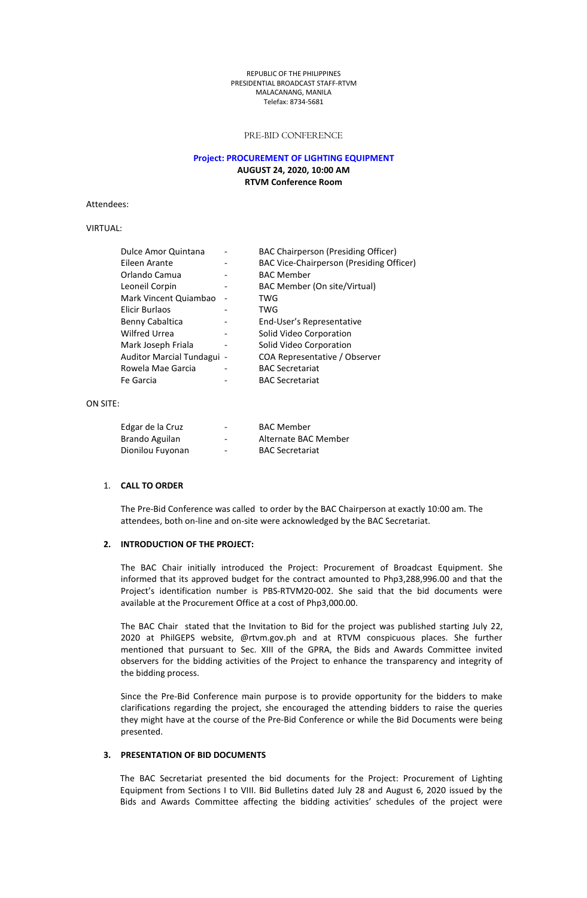#### REPUBLIC OFTHE PHILIPPINES PRESIDENTIAL BROADCAST STAFF-RTVM MALACANANG, MANILA Telefax: 8734-5681

### PRE-BID CONFERENCE

### **Project: PROCUREMENT OF LIGHTING EQUIPMENT AUGUST 24, 2020, 10:00 AM RTVM Conference Room**

Attendees:

# VIRTUAL:

| Dulce Amor Quintana        |                              | <b>BAC Chairperson (Presiding Officer)</b> |
|----------------------------|------------------------------|--------------------------------------------|
| Eileen Arante              | $\qquad \qquad \blacksquare$ | BAC Vice-Chairperson (Presiding Officer)   |
| Orlando Camua              | $\overline{\phantom{0}}$     | <b>BAC Member</b>                          |
| Leoneil Corpin             |                              | BAC Member (On site/Virtual)               |
| Mark Vincent Quiambao      | $\overline{\phantom{a}}$     | TWG                                        |
| Elicir Burlaos             |                              | TWG                                        |
| Benny Cabaltica            | $\qquad \qquad \blacksquare$ | End-User's Representative                  |
| <b>Wilfred Urrea</b>       | $\qquad \qquad \blacksquare$ | Solid Video Corporation                    |
| Mark Joseph Friala         |                              | Solid Video Corporation                    |
| Auditor Marcial Tundagui - |                              | COA Representative / Observer              |
| Rowela Mae Garcia          |                              | <b>BAC Secretariat</b>                     |
| Fe Garcia                  |                              | <b>BAC Secretariat</b>                     |

#### ON SITE:

| Edgar de la Cruz | $\overline{\phantom{a}}$ | <b>BAC Member</b>      |
|------------------|--------------------------|------------------------|
| Brando Aguilan   | $\overline{\phantom{0}}$ | Alternate BAC Member   |
| Dionilou Fuyonan | $\overline{\phantom{0}}$ | <b>BAC Secretariat</b> |

## 1. **CALL TO ORDER**

The Pre-Bid Conference was called to order by the BAC Chairperson at exactly 10:00 am. The attendees, both on-line and on-site were acknowledged by the BAC Secretariat.

### **2. INTRODUCTION OF THEPROJECT:**

The BAC Chair initially introduced the Project: Procurement of Broadcast Equipment. She informed that its approved budget for the contract amounted to Php3,288,996.00 and that the Project's identification number is PBS-RTVM20-002. She said that the bid documents were available at the Procurement Office at a cost of Php3,000.00.

The BAC Chair stated that the Invitation to Bid for the project was published starting July 22, 2020 at PhilGEPS website, @rtvm.gov.ph and at RTVM conspicuous places. She further mentioned that pursuant to Sec. XIII of the GPRA, the Bids and Awards Committee invited observers for the bidding activities of the Project to enhance the transparency and integrity of the bidding process.

Since the Pre-Bid Conference main purpose is to provide opportunity for the bidders to make clarifications regarding the project, she encouraged the attending bidders to raise the queries they might have at the course of the Pre-Bid Conference or while the Bid Documents were being presented.

## **3. PRESENTATION OF BID DOCUMENTS**

The BAC Secretariat presented the bid documents for the Project: Procurement of Lighting Equipment from Sections I to VIII. Bid Bulletins dated July 28 and August 6, 2020 issued bythe Bids and Awards Committee affecting the bidding activities' schedules of the project were